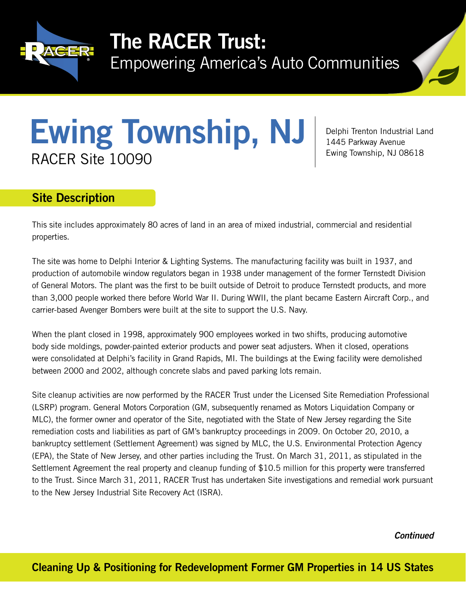

## The RACER Trust:

Empowering America's Auto Communities



# Ewing Township, NJ RACER Site 10090

Delphi Trenton Industrial Land 1445 Parkway Avenue Ewing Township, NJ 08618

### Site Description

This site includes approximately 80 acres of land in an area of mixed industrial, commercial and residential properties.

The site was home to Delphi Interior & Lighting Systems. The manufacturing facility was built in 1937, and production of automobile window regulators began in 1938 under management of the former Ternstedt Division of General Motors. The plant was the first to be built outside of Detroit to produce Ternstedt products, and more than 3,000 people worked there before World War II. During WWII, the plant became Eastern Aircraft Corp., and carrier-based Avenger Bombers were built at the site to support the U.S. Navy.

When the plant closed in 1998, approximately 900 employees worked in two shifts, producing automotive body side moldings, powder-painted exterior products and power seat adjusters. When it closed, operations were consolidated at Delphi's facility in Grand Rapids, MI. The buildings at the Ewing facility were demolished between 2000 and 2002, although concrete slabs and paved parking lots remain.

Site cleanup activities are now performed by the RACER Trust under the Licensed Site Remediation Professional (LSRP) program. General Motors Corporation (GM, subsequently renamed as Motors Liquidation Company or MLC), the former owner and operator of the Site, negotiated with the State of New Jersey regarding the Site remediation costs and liabilities as part of GM's bankruptcy proceedings in 2009. On October 20, 2010, a bankruptcy settlement (Settlement Agreement) was signed by MLC, the U.S. Environmental Protection Agency (EPA), the State of New Jersey, and other parties including the Trust. On March 31, 2011, as stipulated in the Settlement Agreement the real property and cleanup funding of \$10.5 million for this property were transferred to the Trust. Since March 31, 2011, RACER Trust has undertaken Site investigations and remedial work pursuant to the New Jersey Industrial Site Recovery Act (ISRA).

*Continued*